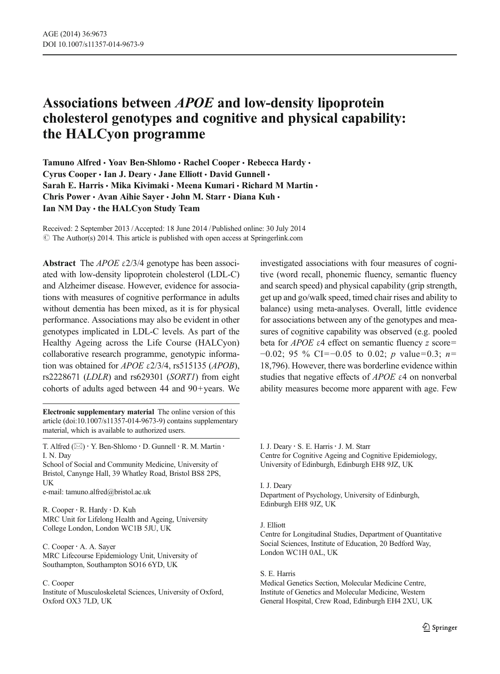# Associations between APOE and low-density lipoprotein cholesterol genotypes and cognitive and physical capability: the HALCyon programme

Tamuno Alfred · Yoav Ben-Shlomo · Rachel Cooper · Rebecca Hardy · Cyrus Cooper · Ian J. Deary · Jane Elliott · David Gunnell · Sarah E. Harris · Mika Kivimaki · Meena Kumari · Richard M Martin · Chris Power · Avan Aihie Sayer · John M. Starr · Diana Kuh · Ian NM Day · the HALCyon Study Team

Received: 2 September 2013 /Accepted: 18 June 2014 /Published online: 30 July 2014  $\odot$  The Author(s) 2014. This article is published with open access at Springerlink.com

Abstract The  $APOE \varepsilon$ 2/3/4 genotype has been associated with low-density lipoprotein cholesterol (LDL-C) and Alzheimer disease. However, evidence for associations with measures of cognitive performance in adults without dementia has been mixed, as it is for physical performance. Associations may also be evident in other genotypes implicated in LDL-C levels. As part of the Healthy Ageing across the Life Course (HALCyon) collaborative research programme, genotypic information was obtained for APOE  $\varepsilon$ 2/3/4, rs515135 (APOB), rs2228671 (LDLR) and rs629301 (SORT1) from eight cohorts of adults aged between 44 and 90+years. We

Electronic supplementary material The online version of this article (doi[:10.1007/s11357-014-9673-9](http://dx.doi.org/10.1007/s11357-014-9673-9)) contains supplementary material, which is available to authorized users.

T. Alfred  $(\boxtimes) \cdot Y$ . Ben-Shlomo  $\cdot$  D. Gunnell  $\cdot$  R. M. Martin  $\cdot$ I. N. Day

School of Social and Community Medicine, University of Bristol, Canynge Hall, 39 Whatley Road, Bristol BS8 2PS, UK

e-mail: tamuno.alfred@bristol.ac.uk

R. Cooper : R. Hardy : D. Kuh MRC Unit for Lifelong Health and Ageing, University College London, London WC1B 5JU, UK

C. Cooper : A. A. Sayer MRC Lifecourse Epidemiology Unit, University of Southampton, Southampton SO16 6YD, UK

#### C. Cooper

Institute of Musculoskeletal Sciences, University of Oxford, Oxford OX3 7LD, UK

investigated associations with four measures of cognitive (word recall, phonemic fluency, semantic fluency and search speed) and physical capability (grip strength, get up and go/walk speed, timed chair rises and ability to balance) using meta-analyses. Overall, little evidence for associations between any of the genotypes and measures of cognitive capability was observed (e.g. pooled beta for  $APOE$  ε4 effect on semantic fluency z score=  $-0.02$ ; 95 % CI= $-0.05$  to 0.02; p value=0.3; n= 18,796). However, there was borderline evidence within studies that negative effects of APOE <sup>ε</sup>4 on nonverbal ability measures become more apparent with age. Few

I. J. Deary  $\cdot$  S. E. Harris  $\cdot$  J. M. Starr Centre for Cognitive Ageing and Cognitive Epidemiology, University of Edinburgh, Edinburgh EH8 9JZ, UK

#### I. J. Deary

Department of Psychology, University of Edinburgh, Edinburgh EH8 9JZ, UK

#### J. Elliott

Centre for Longitudinal Studies, Department of Quantitative Social Sciences, Institute of Education, 20 Bedford Way, London WC1H 0AL, UK

S. E. Harris

Medical Genetics Section, Molecular Medicine Centre, Institute of Genetics and Molecular Medicine, Western General Hospital, Crew Road, Edinburgh EH4 2XU, UK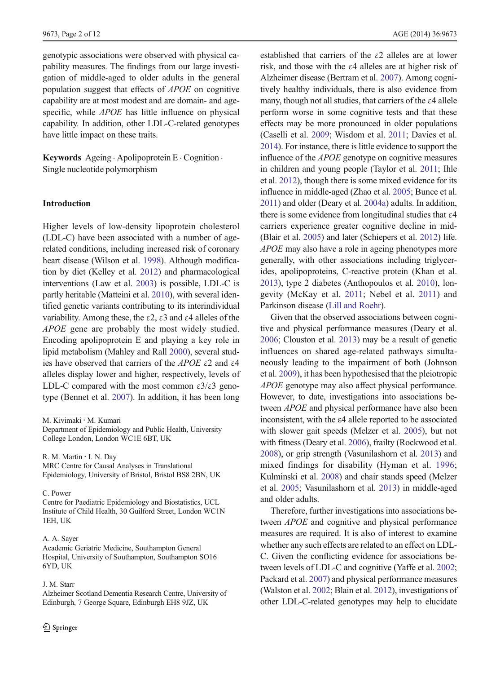genotypic associations were observed with physical capability measures. The findings from our large investigation of middle-aged to older adults in the general population suggest that effects of APOE on cognitive capability are at most modest and are domain- and agespecific, while *APOE* has little influence on physical capability. In addition, other LDL-C-related genotypes have little impact on these traits.

Keywords Ageing . Apolipoprotein E . Cognition . Single nucleotide polymorphism

## Introduction

Higher levels of low-density lipoprotein cholesterol (LDL-C) have been associated with a number of agerelated conditions, including increased risk of coronary heart disease (Wilson et al. [1998](#page-11-0)). Although modification by diet (Kelley et al. [2012](#page-10-0)) and pharmacological interventions (Law et al. [2003](#page-10-0)) is possible, LDL-C is partly heritable (Matteini et al. [2010\)](#page-10-0), with several identified genetic variants contributing to its interindividual variability. Among these, the  $\varepsilon$ 2,  $\varepsilon$ 3 and  $\varepsilon$ 4 alleles of the APOE gene are probably the most widely studied. Encoding apolipoprotein E and playing a key role in lipid metabolism (Mahley and Rall [2000\)](#page-10-0), several studies have observed that carriers of the APOE  $\epsilon$ 2 and  $\epsilon$ 4 alleles display lower and higher, respectively, levels of LDL-C compared with the most common  $\epsilon 3/\epsilon 3$  genotype (Bennet et al. [2007](#page-9-0)). In addition, it has been long

R. M. Martin : I. N. Day

MRC Centre for Causal Analyses in Translational Epidemiology, University of Bristol, Bristol BS8 2BN, UK

C. Power

Centre for Paediatric Epidemiology and Biostatistics, UCL Institute of Child Health, 30 Guilford Street, London WC1N 1EH, UK

#### A. A. Sayer

Academic Geriatric Medicine, Southampton General Hospital, University of Southampton, Southampton SO16 6YD, UK

### J. M. Starr

Alzheimer Scotland Dementia Research Centre, University of Edinburgh, 7 George Square, Edinburgh EH8 9JZ, UK

established that carriers of the ε2 alleles are at lower risk, and those with the ε4 alleles are at higher risk of Alzheimer disease (Bertram et al. [2007\)](#page-9-0). Among cognitively healthy individuals, there is also evidence from many, though not all studies, that carriers of the ε4 allele perform worse in some cognitive tests and that these effects may be more pronounced in older populations (Caselli et al. [2009](#page-9-0); Wisdom et al. [2011;](#page-11-0) Davies et al. [2014](#page-9-0)). For instance, there is little evidence to support the influence of the APOE genotype on cognitive measures in children and young people (Taylor et al. [2011](#page-11-0); Ihle et al. [2012](#page-10-0)), though there is some mixed evidence for its influence in middle-aged (Zhao et al. [2005;](#page-11-0) Bunce et al. [2011](#page-9-0)) and older (Deary et al. [2004a](#page-9-0)) adults. In addition, there is some evidence from longitudinal studies that  $\varepsilon$ 4 carriers experience greater cognitive decline in mid- (Blair et al. [2005\)](#page-9-0) and later (Schiepers et al. [2012](#page-10-0)) life. APOE may also have a role in ageing phenotypes more generally, with other associations including triglycerides, apolipoproteins, C-reactive protein (Khan et al. [2013](#page-10-0)), type 2 diabetes (Anthopoulos et al. [2010\)](#page-9-0), longevity (McKay et al. [2011](#page-10-0); Nebel et al. [2011](#page-10-0)) and Parkinson disease ([Lill and Roehr\)](#page-10-0).

Given that the observed associations between cognitive and physical performance measures (Deary et al. [2006](#page-9-0); Clouston et al. [2013\)](#page-9-0) may be a result of genetic influences on shared age-related pathways simultaneously leading to the impairment of both (Johnson et al. [2009\)](#page-10-0), it has been hypothesised that the pleiotropic APOE genotype may also affect physical performance. However, to date, investigations into associations between APOE and physical performance have also been inconsistent, with the ε4 allele reported to be associated with slower gait speeds (Melzer et al. [2005\)](#page-10-0), but not with fitness (Deary et al. [2006\)](#page-9-0), frailty (Rockwood et al. [2008](#page-10-0)), or grip strength (Vasunilashorn et al. [2013\)](#page-11-0) and mixed findings for disability (Hyman et al. [1996;](#page-9-0) Kulminski et al. [2008](#page-10-0)) and chair stands speed (Melzer et al. [2005](#page-10-0); Vasunilashorn et al. [2013](#page-11-0)) in middle-aged and older adults.

Therefore, further investigations into associations between APOE and cognitive and physical performance measures are required. It is also of interest to examine whether any such effects are related to an effect on LDL-C. Given the conflicting evidence for associations between levels of LDL-C and cognitive (Yaffe et al. [2002;](#page-11-0) Packard et al. [2007\)](#page-10-0) and physical performance measures (Walston et al. [2002](#page-11-0); Blain et al. [2012\)](#page-9-0), investigations of other LDL-C-related genotypes may help to elucidate

M. Kivimaki : M. Kumari

Department of Epidemiology and Public Health, University College London, London WC1E 6BT, UK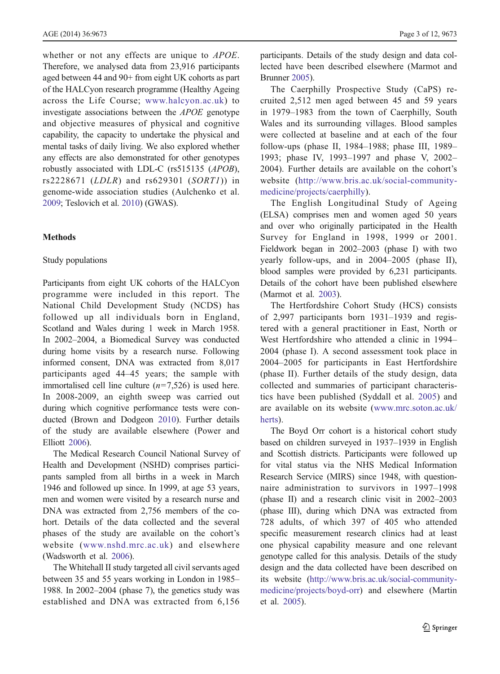whether or not any effects are unique to *APOE*. Therefore, we analysed data from 23,916 participants aged between 44 and 90+ from eight UK cohorts as part of the HALCyon research programme (Healthy Ageing across the Life Course; [www.halcyon.ac.uk\)](http://www.halcyon.ac.uk/) to investigate associations between the APOE genotype and objective measures of physical and cognitive capability, the capacity to undertake the physical and mental tasks of daily living. We also explored whether any effects are also demonstrated for other genotypes robustly associated with LDL-C (rs515135 (APOB), rs2228671 (LDLR) and rs629301 (SORT1)) in genome-wide association studies (Aulchenko et al. [2009](#page-9-0); Teslovich et al. [2010\)](#page-11-0) (GWAS).

# **Methods**

## Study populations

Participants from eight UK cohorts of the HALCyon programme were included in this report. The National Child Development Study (NCDS) has followed up all individuals born in England, Scotland and Wales during 1 week in March 1958. In 2002–2004, a Biomedical Survey was conducted during home visits by a research nurse. Following informed consent, DNA was extracted from 8,017 participants aged 44–45 years; the sample with immortalised cell line culture  $(n=7,526)$  is used here. In 2008-2009, an eighth sweep was carried out during which cognitive performance tests were conducted (Brown and Dodgeon [2010\)](#page-9-0). Further details of the study are available elsewhere (Power and Elliott [2006\)](#page-10-0).

The Medical Research Council National Survey of Health and Development (NSHD) comprises participants sampled from all births in a week in March 1946 and followed up since. In 1999, at age 53 years, men and women were visited by a research nurse and DNA was extracted from 2,756 members of the cohort. Details of the data collected and the several phases of the study are available on the cohort's website ([www.nshd.mrc.ac.uk\)](http://www.nshd.mrc.ac.uk) and elsewhere (Wadsworth et al. [2006\)](#page-11-0).

The Whitehall II study targeted all civil servants aged between 35 and 55 years working in London in 1985– 1988. In 2002–2004 (phase 7), the genetics study was established and DNA was extracted from 6,156 participants. Details of the study design and data collected have been described elsewhere (Marmot and Brunner [2005\)](#page-10-0).

The Caerphilly Prospective Study (CaPS) recruited 2,512 men aged between 45 and 59 years in 1979–1983 from the town of Caerphilly, South Wales and its surrounding villages. Blood samples were collected at baseline and at each of the four follow-ups (phase II, 1984–1988; phase III, 1989– 1993; phase IV, 1993–1997 and phase V, 2002– 2004). Further details are available on the cohort's website ([http://www.bris.ac.uk/social-community](http://www.bris.ac.uk/social-community-medicine/projects/caerphilly)[medicine/projects/caerphilly\)](http://www.bris.ac.uk/social-community-medicine/projects/caerphilly).

The English Longitudinal Study of Ageing (ELSA) comprises men and women aged 50 years and over who originally participated in the Health Survey for England in 1998, 1999 or 2001. Fieldwork began in 2002–2003 (phase I) with two yearly follow-ups, and in 2004–2005 (phase II), blood samples were provided by 6,231 participants. Details of the cohort have been published elsewhere (Marmot et al. [2003](#page-10-0)).

The Hertfordshire Cohort Study (HCS) consists of 2,997 participants born 1931–1939 and registered with a general practitioner in East, North or West Hertfordshire who attended a clinic in 1994– 2004 (phase I). A second assessment took place in 2004–2005 for participants in East Hertfordshire (phase II). Further details of the study design, data collected and summaries of participant characteristics have been published (Syddall et al. [2005](#page-10-0)) and are available on its website [\(www.mrc.soton.ac.uk/](http://www.mrc.soton.ac.uk/herts) [herts](http://www.mrc.soton.ac.uk/herts)).

The Boyd Orr cohort is a historical cohort study based on children surveyed in 1937–1939 in English and Scottish districts. Participants were followed up for vital status via the NHS Medical Information Research Service (MIRS) since 1948, with questionnaire administration to survivors in 1997–1998 (phase II) and a research clinic visit in 2002–2003 (phase III), during which DNA was extracted from 728 adults, of which 397 of 405 who attended specific measurement research clinics had at least one physical capability measure and one relevant genotype called for this analysis. Details of the study design and the data collected have been described on its website [\(http://www.bris.ac.uk/social-community](http://www.bris.ac.uk/social-community-medicine/projects/boyd-orr)[medicine/projects/boyd-orr\)](http://www.bris.ac.uk/social-community-medicine/projects/boyd-orr) and elsewhere (Martin et al. [2005\)](#page-10-0).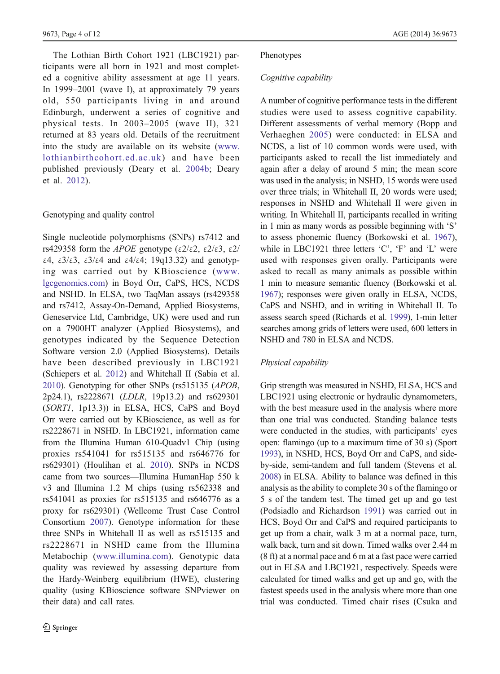The Lothian Birth Cohort 1921 (LBC1921) participants were all born in 1921 and most completed a cognitive ability assessment at age 11 years. In 1999–2001 (wave I), at approximately 79 years old, 550 participants living in and around Edinburgh, underwent a series of cognitive and physical tests. In 2003–2005 (wave II), 321 returned at 83 years old. Details of the recruitment into the study are available on its website ([www.](http://www.lothianbirthcohort.ed.ac.uk) [lothianbirthcohort.ed.ac.uk](http://www.lothianbirthcohort.ed.ac.uk)) and have been published previously (Deary et al. [2004b;](#page-9-0) Deary et al. [2012](#page-9-0)).

## Genotyping and quality control

Single nucleotide polymorphisms (SNPs) rs7412 and rs429358 form the *APOE* genotype (ε2/ε2, ε2/ε3, ε2/ ε4, ε3/ε3, ε3/ε4 and ε4/ε4; 19q13.32) and genotyping was carried out by KBioscience ([www.](http://www.lgcgenomics.com) [lgcgenomics.com\)](http://www.lgcgenomics.com) in Boyd Orr, CaPS, HCS, NCDS and NSHD. In ELSA, two TaqMan assays (rs429358 and rs7412, Assay-On-Demand, Applied Biosystems, Geneservice Ltd, Cambridge, UK) were used and run on a 7900HT analyzer (Applied Biosystems), and genotypes indicated by the Sequence Detection Software version 2.0 (Applied Biosystems). Details have been described previously in LBC1921 (Schiepers et al. [2012](#page-10-0)) and Whitehall II (Sabia et al. [2010](#page-10-0)). Genotyping for other SNPs (rs515135 (APOB, 2p24.1), rs2228671 (LDLR, 19p13.2) and rs629301 (SORT1, 1p13.3)) in ELSA, HCS, CaPS and Boyd Orr were carried out by KBioscience, as well as for rs2228671 in NSHD. In LBC1921, information came from the Illumina Human 610-Quadv1 Chip (using proxies rs541041 for rs515135 and rs646776 for rs629301) (Houlihan et al. [2010](#page-9-0)). SNPs in NCDS came from two sources—Illumina HumanHap 550 k v3 and Illumina 1.2 M chips (using rs562338 and rs541041 as proxies for rs515135 and rs646776 as a proxy for rs629301) (Wellcome Trust Case Control Consortium [2007\)](#page-11-0). Genotype information for these three SNPs in Whitehall II as well as rs515135 and rs2228671 in NSHD came from the Illumina Metabochip [\(www.illumina.com](http://www.illumina.com)). Genotypic data quality was reviewed by assessing departure from the Hardy-Weinberg equilibrium (HWE), clustering quality (using KBioscience software SNPviewer on their data) and call rates.

#### Phenotypes

#### Cognitive capability  $\overline{c}$  capability capability capability  $\overline{c}$

A number of cognitive performance tests in the different studies were used to assess cognitive capability. Different assessments of verbal memory (Bopp and Verhaeghen [2005\)](#page-9-0) were conducted: in ELSA and NCDS, a list of 10 common words were used, with participants asked to recall the list immediately and again after a delay of around 5 min; the mean score was used in the analysis; in NSHD, 15 words were used over three trials; in Whitehall II, 20 words were used; responses in NSHD and Whitehall II were given in writing. In Whitehall II, participants recalled in writing in 1 min as many words as possible beginning with 'S' to assess phonemic fluency (Borkowski et al. [1967\)](#page-9-0), while in LBC1921 three letters 'C', 'F' and 'L' were used with responses given orally. Participants were asked to recall as many animals as possible within 1 min to measure semantic fluency (Borkowski et al. [1967](#page-9-0)); responses were given orally in ELSA, NCDS, CaPS and NSHD, and in writing in Whitehall II. To assess search speed (Richards et al. [1999](#page-10-0)), 1-min letter searches among grids of letters were used, 600 letters in NSHD and 780 in ELSA and NCDS.

# $\frac{1}{2}$

Grip strength was measured in NSHD, ELSA, HCS and LBC1921 using electronic or hydraulic dynamometers, with the best measure used in the analysis where more than one trial was conducted. Standing balance tests were conducted in the studies, with participants' eyes open: flamingo (up to a maximum time of 30 s) (Sport [1993](#page-10-0)), in NSHD, HCS, Boyd Orr and CaPS, and sideby-side, semi-tandem and full tandem (Stevens et al. [2008](#page-10-0)) in ELSA. Ability to balance was defined in this analysis as the ability to complete 30 s of the flamingo or 5 s of the tandem test. The timed get up and go test (Podsiadlo and Richardson [1991\)](#page-10-0) was carried out in HCS, Boyd Orr and CaPS and required participants to get up from a chair, walk 3 m at a normal pace, turn, walk back, turn and sit down. Timed walks over 2.44 m (8 ft) at a normal pace and 6 m at a fast pace were carried out in ELSA and LBC1921, respectively. Speeds were calculated for timed walks and get up and go, with the fastest speeds used in the analysis where more than one trial was conducted. Timed chair rises (Csuka and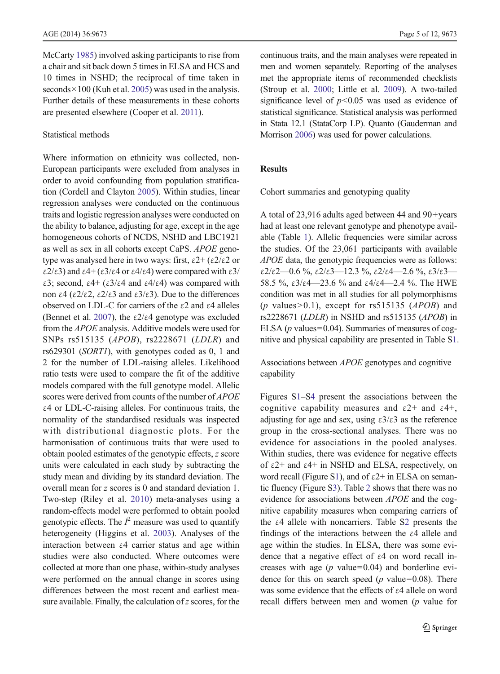McCarty [1985\)](#page-9-0) involved asking participants to rise from a chair and sit back down 5 times in ELSA and HCS and 10 times in NSHD; the reciprocal of time taken in seconds  $\times$  100 (Kuh et al. [2005](#page-10-0)) was used in the analysis. Further details of these measurements in these cohorts are presented elsewhere (Cooper et al. [2011](#page-9-0)).

## Statistical methods

Where information on ethnicity was collected, non-European participants were excluded from analyses in order to avoid confounding from population stratification (Cordell and Clayton [2005](#page-9-0)). Within studies, linear regression analyses were conducted on the continuous traits and logistic regression analyses were conducted on the ability to balance, adjusting for age, except in the age homogeneous cohorts of NCDS, NSHD and LBC1921 as well as sex in all cohorts except CaPS. APOE genotype was analysed here in two ways: first,  $ε2+(ε2/ε2)$  or  $\epsilon$ 2/ε3) and  $\epsilon$ 4+ (ε3/ε4 or  $\epsilon$ 4/ε4) were compared with  $\epsilon$ 3/ ε3; second, ε4+ (ε3/ε4 and ε4/ε4) was compared with non ε4 (ε2/ε2, ε2/ε3 and ε3/ε3). Due to the differences observed on LDL-C for carriers of the ε2 and ε4 alleles (Bennet et al. [2007](#page-9-0)), the  $\epsilon 2/\epsilon 4$  genotype was excluded from the APOE analysis. Additive models were used for SNPs rs515135 (APOB), rs2228671 (LDLR) and rs629301 (SORT1), with genotypes coded as 0, 1 and 2 for the number of LDL-raising alleles. Likelihood ratio tests were used to compare the fit of the additive models compared with the full genotype model. Allelic scores were derived from counts of the number of APOE ε4 or LDL-C-raising alleles. For continuous traits, the normality of the standardised residuals was inspected with distributional diagnostic plots. For the harmonisation of continuous traits that were used to obtain pooled estimates of the genotypic effects, z score units were calculated in each study by subtracting the study mean and dividing by its standard deviation. The overall mean for z scores is 0 and standard deviation 1. Two-step (Riley et al. [2010](#page-10-0)) meta-analyses using a random-effects model were performed to obtain pooled genotypic effects. The  $l^2$  measure was used to quantify<br>heterogeneity (Higgins et al. 2003). Analyses of the heterogeneity (Higgins et al. [2003\)](#page-9-0). Analyses of the interaction between  $\varepsilon$ 4 carrier status and age within studies were also conducted. Where outcomes were collected at more than one phase, within-study analyses were performed on the annual change in scores using differences between the most recent and earliest measure available. Finally, the calculation of  $z$  scores, for the

continuous traits, and the main analyses were repeated in men and women separately. Reporting of the analyses met the appropriate items of recommended checklists (Stroup et al. [2000](#page-10-0); Little et al. [2009\)](#page-10-0). A two-tailed significance level of  $p<0.05$  was used as evidence of statistical significance. Statistical analysis was performed in Stata 12.1 (StataCorp LP). Quanto (Gauderman and Morrison [2006](#page-9-0)) was used for power calculations.

# Results

Cohort summaries and genotyping quality

A total of 23,916 adults aged between 44 and 90+years had at least one relevant genotype and phenotype available (Table [1](#page-5-0)). Allelic frequencies were similar across the studies. Of the 23,061 participants with available APOE data, the genotypic frequencies were as follows: ε2/ε2—0.6 %, ε2/ε3—12.3 %, ε2/ε4—2.6 %, ε3/ε3— 58.5 %,  $\epsilon 3/\epsilon 4$  -23.6 % and  $\epsilon 4/\epsilon 4$  -2.4 %. The HWE condition was met in all studies for all polymorphisms (p values  $> 0.1$ ), except for rs515135 (APOB) and rs2228671 (LDLR) in NSHD and rs515135 (APOB) in ELSA ( $p$  values=0.04). Summaries of measures of cognitive and physical capability are presented in Table S1.

Associations between APOE genotypes and cognitive capability

Figures S1–S4 present the associations between the cognitive capability measures and  $\varepsilon$ 2+ and  $\varepsilon$ 4+, adjusting for age and sex, using  $\epsilon 3/\epsilon 3$  as the reference group in the cross-sectional analyses. There was no evidence for associations in the pooled analyses. Within studies, there was evidence for negative effects of ε2+ and ε4+ in NSHD and ELSA, respectively, on word recall (Figure S1), and of  $\varepsilon$ 2+ in ELSA on semantic fluency (Figure S3). Table [2](#page-6-0) shows that there was no evidence for associations between APOE and the cognitive capability measures when comparing carriers of the  $\varepsilon$ 4 allele with noncarriers. Table S2 presents the findings of the interactions between the ε4 allele and age within the studies. In ELSA, there was some evidence that a negative effect of ε4 on word recall increases with age  $(p \text{ value}=0.04)$  and borderline evidence for this on search speed ( $p$  value=0.08). There was some evidence that the effects of ε4 allele on word recall differs between men and women (p value for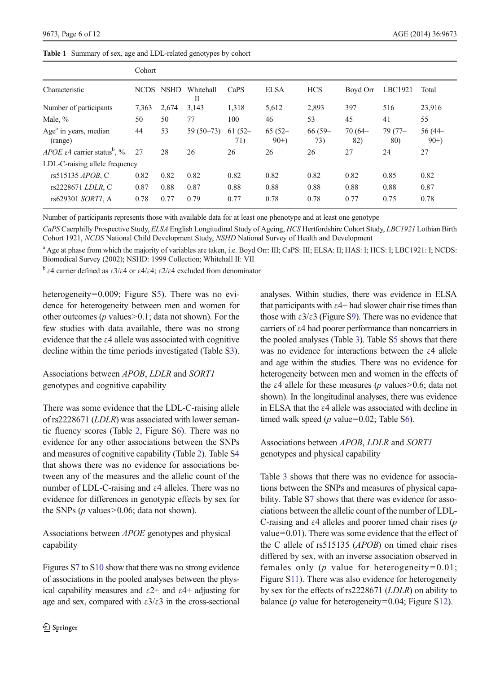<span id="page-5-0"></span>Table 1 Summary of sex, age and LDL-related genotypes by cohort

|                                                             | Cohort      |             |                |                  |                     |                  |                  |                  |                    |
|-------------------------------------------------------------|-------------|-------------|----------------|------------------|---------------------|------------------|------------------|------------------|--------------------|
| Characteristic                                              | <b>NCDS</b> | <b>NSHD</b> | Whitehall<br>П | CaPS             | <b>ELSA</b>         | <b>HCS</b>       | Boyd Orr         | LBC1921          | Total              |
| Number of participants                                      | 7,363       | 2,674       | 3,143          | 1,318            | 5,612               | 2,893            | 397              | 516              | 23,916             |
| Male, %                                                     | 50          | 50          | 77             | 100              | 46                  | 53               | 45               | 41               | 55                 |
| Age <sup>a</sup> in years, median<br>(range)                | 44          | 53          | $59(50-73)$    | $61(52 -$<br>71) | $65(52 -$<br>$90+)$ | $66(59 -$<br>73) | $70(64 -$<br>82) | $79(77 -$<br>80) | $56(44-$<br>$90+)$ |
| <i>APOE</i> $\varepsilon$ 4 carrier status <sup>b</sup> , % | 27          | 28          | 26             | 26               | 26                  | 26               | 27               | 24               | 27                 |
| LDL-C-raising allele frequency                              |             |             |                |                  |                     |                  |                  |                  |                    |
| rs515135 <i>APOB</i> , C                                    | 0.82        | 0.82        | 0.82           | 0.82             | 0.82                | 0.82             | 0.82             | 0.85             | 0.82               |
| rs2228671 LDLR, C                                           | 0.87        | 0.88        | 0.87           | 0.88             | 0.88                | 0.88             | 0.88             | 0.88             | 0.87               |
| rs629301 SORT1, A                                           | 0.78        | 0.77        | 0.79           | 0.77             | 0.78                | 0.78             | 0.77             | 0.75             | 0.78               |

Number of participants represents those with available data for at least one phenotype and at least one genotype

CaPS Caerphilly Prospective Study, ELSA English Longitudinal Study of Ageing, HCS Hertfordshire Cohort Study, LBC1921 Lothian Birth Cohort 1921, NCDS National Child Development Study, NSHD National Survey of Health and Development

<sup>a</sup> Age at phase from which the majority of variables are taken, i.e. Boyd Orr: III; CaPS: III; ELSA: II; HAS: I; HCS: I; LBC1921: I; NCDS: Biomedical Survey (2002); NSHD: 1999 Collection; Whitehall II: VII

<sup>b</sup> ε4 carrier defined as ε3/ε4 or ε4/ε4; ε2/ε4 excluded from denominator

heterogeneity=0.009; Figure S5). There was no evidence for heterogeneity between men and women for other outcomes ( $p$  values $> 0.1$ ; data not shown). For the few studies with data available, there was no strong evidence that the ε4 allele was associated with cognitive decline within the time periods investigated (Table S3).

# Associations between APOB, LDLR and SORT1 genotypes and cognitive capability

There was some evidence that the LDL-C-raising allele of rs2228671 (LDLR) was associated with lower semantic fluency scores (Table [2](#page-6-0), Figure S6). There was no evidence for any other associations between the SNPs and measures of cognitive capability (Table [2\)](#page-6-0). Table S4 that shows there was no evidence for associations between any of the measures and the allelic count of the number of LDL-C-raising and ε4 alleles. There was no evidence for differences in genotypic effects by sex for the SNPs ( $p$  values $> 0.06$ ; data not shown).

Associations between APOE genotypes and physical capability

Figures S7 to S10 show that there was no strong evidence of associations in the pooled analyses between the physical capability measures and  $\varepsilon$ 2+ and  $\varepsilon$ 4+ adjusting for age and sex, compared with  $\epsilon 3/\epsilon 3$  in the cross-sectional analyses. Within studies, there was evidence in ELSA that participants with  $\varepsilon$ 4+ had slower chair rise times than those with  $\epsilon 3/\epsilon 3$  (Figure S9). There was no evidence that carriers of ε4 had poorer performance than noncarriers in the pooled analyses (Table [3\)](#page-6-0). Table S5 shows that there was no evidence for interactions between the ε4 allele and age within the studies. There was no evidence for heterogeneity between men and women in the effects of the  $\varepsilon$ 4 allele for these measures (*p* values>0.6; data not shown). In the longitudinal analyses, there was evidence in ELSA that the ε4 allele was associated with decline in timed walk speed ( $p$  value=0.02; Table S6).

# Associations between APOB, LDLR and SORT1 genotypes and physical capability

Table [3](#page-6-0) shows that there was no evidence for associations between the SNPs and measures of physical capability. Table S7 shows that there was evidence for associations between the allelic count of the number of LDL-C-raising and  $\varepsilon$ 4 alleles and poorer timed chair rises ( $p$ ) value=0.01). There was some evidence that the effect of the C allele of rs515135 (APOB) on timed chair rises differed by sex, with an inverse association observed in females only ( $p$  value for heterogeneity=0.01; Figure S11). There was also evidence for heterogeneity by sex for the effects of rs2228671 (LDLR) on ability to balance ( $p$  value for heterogeneity=0.04; Figure S12).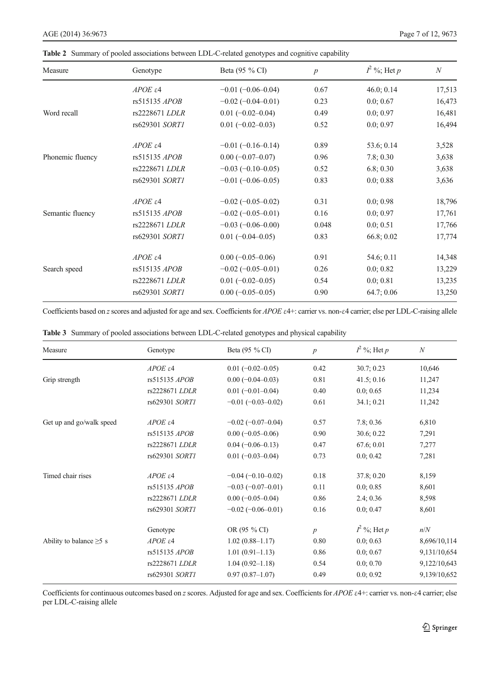| Measure          | Genotype            | Beta (95 % CI)             | $\boldsymbol{p}$ | $I^2$ %; Het p | $\boldsymbol{N}$ |
|------------------|---------------------|----------------------------|------------------|----------------|------------------|
|                  | $APOE \epsilon 4$   | $-0.01(-0.06-0.04)$        | 0.67             | 46.0; 0.14     | 17,513           |
|                  | rs515135 APOB       | $-0.02$ ( $-0.04 - 0.01$ ) | 0.23             | 0.0; 0.67      | 16,473           |
| Word recall      | rs2228671 LDLR      | $0.01 (-0.02 - 0.04)$      | 0.49             | 0.0; 0.97      | 16,481           |
|                  | rs629301 SORT1      | $0.01 (-0.02 - 0.03)$      | 0.52             | 0.0; 0.97      | 16,494           |
|                  | $APOE \epsilon 4$   | $-0.01(-0.16-0.14)$        | 0.89             | 53.6; 0.14     | 3,528            |
| Phonemic fluency | rs515135 APOB       | $0.00(-0.07-0.07)$         | 0.96             | 7.8; 0.30      | 3,638            |
|                  | rs2228671 LDLR      | $-0.03(-0.10-0.05)$        | 0.52             | 6.8; 0.30      | 3,638            |
|                  | rs629301 SORT1      | $-0.01(-0.06-0.05)$        | 0.83             | 0.0; 0.88      | 3,636            |
|                  | $APOE \varepsilon4$ | $-0.02(-0.05-0.02)$        | 0.31             | 0.0; 0.98      | 18,796           |
| Semantic fluency | rs515135 APOB       | $-0.02(-0.05-0.01)$        | 0.16             | 0.0; 0.97      | 17,761           |
|                  | rs2228671 LDLR      | $-0.03(-0.06-0.00)$        | 0.048            | 0.0; 0.51      | 17,766           |
|                  | rs629301 SORT1      | $0.01 (-0.04 - 0.05)$      | 0.83             | 66.8;0.02      | 17,774           |
|                  | $APOE \varepsilon4$ | $0.00 (-0.05 - 0.06)$      | 0.91             | 54.6; 0.11     | 14,348           |
| Search speed     | rs515135 APOB       | $-0.02$ ( $-0.05-0.01$ )   | 0.26             | 0.0; 0.82      | 13,229           |
|                  | rs2228671 LDLR      | $0.01 (-0.02 - 0.05)$      | 0.54             | 0.0; 0.81      | 13,235           |
|                  | rs629301 SORT1      | $0.00 (-0.05 - 0.05)$      | 0.90             | 64.7;0.06      | 13,250           |

<span id="page-6-0"></span>Table 2 Summary of pooled associations between LDL-C-related genotypes and cognitive capability

Coefficients based on z scores and adjusted for age and sex. Coefficients for APOE ε4+: carrier vs. non-ε4 carrier; else per LDL-C-raising allele

| Measure                       | Genotype               | Beta (95 % CI)             | $\boldsymbol{p}$ | $I^2$ %; Het p | $\mathcal{N}$ |
|-------------------------------|------------------------|----------------------------|------------------|----------------|---------------|
|                               | $APOE$ $\varepsilon$ 4 | $0.01 (-0.02 - 0.05)$      | 0.42             | 30.7; 0.23     | 10,646        |
| Grip strength                 | rs515135 APOB          | $0.00 (-0.04 - 0.03)$      | 0.81             | 41.5; 0.16     | 11,247        |
|                               | rs2228671 LDLR         | $0.01 (-0.01 - 0.04)$      | 0.40             | 0.0; 0.65      | 11,234        |
|                               | rs629301 SORT1         | $-0.01$ $(-0.03 - 0.02)$   | 0.61             | 34.1; 0.21     | 11,242        |
| Get up and go/walk speed      | $APOE$ $\varepsilon$ 4 | $-0.02$ ( $-0.07-0.04$ )   | 0.57             | 7.8; 0.36      | 6,810         |
|                               | rs515135 APOB          | $0.00 (-0.05 - 0.06)$      | 0.90             | 30.6; 0.22     | 7,291         |
|                               | rs2228671 LDLR         | $0.04 (-0.06 - 0.13)$      | 0.47             | 67.6; 0.01     | 7,277         |
|                               | rs629301 SORT1         | $0.01 (-0.03 - 0.04)$      | 0.73             | 0.0; 0.42      | 7,281         |
| Timed chair rises             | $APOE$ $\varepsilon$ 4 | $-0.04 (-0.10 - 0.02)$     | 0.18             | 37.8; 0.20     | 8,159         |
|                               | rs515135 APOB          | $-0.03(-0.07-0.01)$        | 0.11             | 0.0; 0.85      | 8,601         |
|                               | rs2228671 LDLR         | $0.00 (-0.05 - 0.04)$      | 0.86             | 2.4; 0.36      | 8,598         |
|                               | rs629301 SORT1         | $-0.02$ ( $-0.06 - 0.01$ ) | 0.16             | 0.0; 0.47      | 8,601         |
|                               | Genotype               | OR (95 % CI)               | $\boldsymbol{p}$ | $I^2$ %; Het p | n/N           |
| Ability to balance $\geq$ 5 s | $APOE$ $\varepsilon$ 4 | $1.02(0.88 - 1.17)$        | 0.80             | 0.0; 0.63      | 8,696/10,114  |
|                               | rs515135 APOB          | $1.01(0.91 - 1.13)$        | 0.86             | 0.0; 0.67      | 9,131/10,654  |
|                               | rs2228671 LDLR         | $1.04(0.92 - 1.18)$        | 0.54             | 0.0; 0.70      | 9,122/10,643  |
|                               | rs629301 SORT1         | $0.97(0.87-1.07)$          | 0.49             | 0.0; 0.92      | 9,139/10,652  |

|  |  |  | <b>Table 3</b> Summary of pooled associations between LDL-C-related genotypes and physical capability |  |  |  |  |  |  |
|--|--|--|-------------------------------------------------------------------------------------------------------|--|--|--|--|--|--|
|--|--|--|-------------------------------------------------------------------------------------------------------|--|--|--|--|--|--|

Coefficients for continuous outcomes based on z scores. Adjusted for age and sex. Coefficients for APOE ε4+: carrier vs. non-ε4 carrier; else per LDL-C-raising allele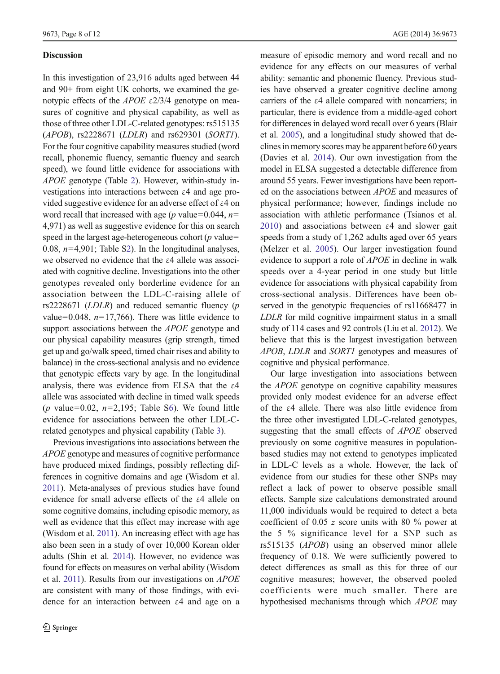## Discussion

In this investigation of 23,916 adults aged between 44 and 90+ from eight UK cohorts, we examined the genotypic effects of the *APOE* ε2/3/4 genotype on measures of cognitive and physical capability, as well as those of three other LDL-C-related genotypes: rs515135 (APOB), rs2228671 (LDLR) and rs629301 (SORT1). For the four cognitive capability measures studied (word recall, phonemic fluency, semantic fluency and search speed), we found little evidence for associations with APOE genotype (Table [2](#page-6-0)). However, within-study investigations into interactions between ε4 and age provided suggestive evidence for an adverse effect of ε4 on word recall that increased with age ( $p$  value=0.044,  $n=$ 4,971) as well as suggestive evidence for this on search speed in the largest age-heterogeneous cohort ( $p$  value= 0.08,  $n=4,901$ ; Table S2). In the longitudinal analyses, we observed no evidence that the ε4 allele was associated with cognitive decline. Investigations into the other genotypes revealed only borderline evidence for an association between the LDL-C-raising allele of rs2228671 ( $LDLR$ ) and reduced semantic fluency ( $p$ value=0.048,  $n=17,766$ ). There was little evidence to support associations between the *APOE* genotype and our physical capability measures (grip strength, timed get up and go/walk speed, timed chair rises and ability to balance) in the cross-sectional analysis and no evidence that genotypic effects vary by age. In the longitudinal analysis, there was evidence from ELSA that the  $\varepsilon$ 4 allele was associated with decline in timed walk speeds (p value=0.02,  $n=2,195$ ; Table S6). We found little evidence for associations between the other LDL-Crelated genotypes and physical capability (Table [3\)](#page-6-0).

Previous investigations into associations between the APOE genotype and measures of cognitive performance have produced mixed findings, possibly reflecting differences in cognitive domains and age (Wisdom et al. [2011](#page-11-0)). Meta-analyses of previous studies have found evidence for small adverse effects of the ε4 allele on some cognitive domains, including episodic memory, as well as evidence that this effect may increase with age (Wisdom et al. [2011](#page-11-0)). An increasing effect with age has also been seen in a study of over 10,000 Korean older adults (Shin et al. [2014](#page-10-0)). However, no evidence was found for effects on measures on verbal ability (Wisdom et al. [2011\)](#page-11-0). Results from our investigations on APOE are consistent with many of those findings, with evidence for an interaction between ε4 and age on a measure of episodic memory and word recall and no evidence for any effects on our measures of verbal ability: semantic and phonemic fluency. Previous studies have observed a greater cognitive decline among carriers of the ε4 allele compared with noncarriers; in particular, there is evidence from a middle-aged cohort for differences in delayed word recall over 6 years (Blair et al. [2005\)](#page-9-0), and a longitudinal study showed that declines in memory scores may be apparent before 60 years (Davies et al. [2014\)](#page-9-0). Our own investigation from the model in ELSA suggested a detectable difference from around 55 years. Fewer investigations have been reported on the associations between APOE and measures of physical performance; however, findings include no association with athletic performance (Tsianos et al. [2010](#page-11-0)) and associations between ε4 and slower gait speeds from a study of 1,262 adults aged over 65 years (Melzer et al. [2005](#page-10-0)). Our larger investigation found evidence to support a role of APOE in decline in walk speeds over a 4-year period in one study but little evidence for associations with physical capability from cross-sectional analysis. Differences have been observed in the genotypic frequencies of rs11668477 in LDLR for mild cognitive impairment status in a small study of 114 cases and 92 controls (Liu et al. [2012\)](#page-10-0). We believe that this is the largest investigation between APOB, LDLR and SORT1 genotypes and measures of cognitive and physical performance.

Our large investigation into associations between the APOE genotype on cognitive capability measures provided only modest evidence for an adverse effect of the ε4 allele. There was also little evidence from the three other investigated LDL-C-related genotypes, suggesting that the small effects of APOE observed previously on some cognitive measures in populationbased studies may not extend to genotypes implicated in LDL-C levels as a whole. However, the lack of evidence from our studies for these other SNPs may reflect a lack of power to observe possible small effects. Sample size calculations demonstrated around 11,000 individuals would be required to detect a beta coefficient of 0.05 z score units with 80 % power at the 5 % significance level for a SNP such as rs515135 (APOB) using an observed minor allele frequency of 0.18. We were sufficiently powered to detect differences as small as this for three of our cognitive measures; however, the observed pooled coefficients were much smaller. There are hypothesised mechanisms through which APOE may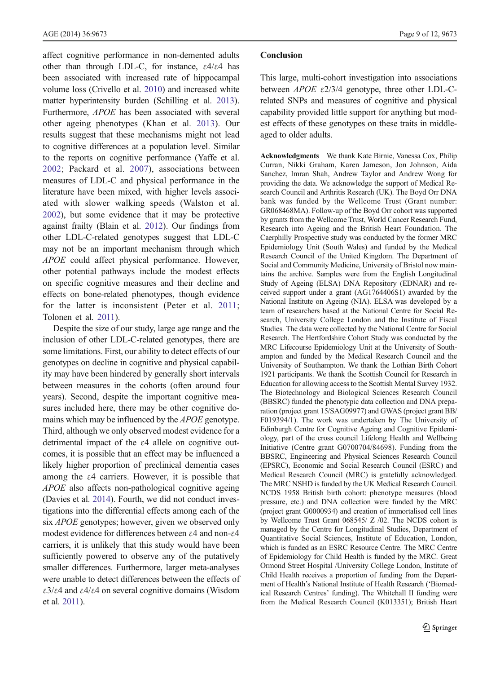affect cognitive performance in non-demented adults other than through LDL-C, for instance,  $\epsilon 4/\epsilon 4$  has been associated with increased rate of hippocampal volume loss (Crivello et al. [2010](#page-9-0)) and increased white matter hyperintensity burden (Schilling et al. [2013\)](#page-10-0). Furthermore, APOE has been associated with several other ageing phenotypes (Khan et al. [2013](#page-10-0)). Our results suggest that these mechanisms might not lead to cognitive differences at a population level. Similar to the reports on cognitive performance (Yaffe et al. [2002](#page-11-0); Packard et al. [2007\)](#page-10-0), associations between measures of LDL-C and physical performance in the literature have been mixed, with higher levels associated with slower walking speeds (Walston et al. [2002](#page-11-0)), but some evidence that it may be protective against frailty (Blain et al. [2012](#page-9-0)). Our findings from other LDL-C-related genotypes suggest that LDL-C may not be an important mechanism through which APOE could affect physical performance. However, other potential pathways include the modest effects on specific cognitive measures and their decline and effects on bone-related phenotypes, though evidence for the latter is inconsistent (Peter et al. [2011](#page-10-0); Tolonen et al. [2011\)](#page-11-0).

Despite the size of our study, large age range and the inclusion of other LDL-C-related genotypes, there are some limitations. First, our ability to detect effects of our genotypes on decline in cognitive and physical capability may have been hindered by generally short intervals between measures in the cohorts (often around four years). Second, despite the important cognitive measures included here, there may be other cognitive domains which may be influenced by the *APOE* genotype. Third, although we only observed modest evidence for a detrimental impact of the  $\varepsilon$ 4 allele on cognitive outcomes, it is possible that an effect may be influenced a likely higher proportion of preclinical dementia cases among the  $\varepsilon$ 4 carriers. However, it is possible that APOE also affects non-pathological cognitive ageing (Davies et al. [2014\)](#page-9-0). Fourth, we did not conduct investigations into the differential effects among each of the six *APOE* genotypes; however, given we observed only modest evidence for differences between ε4 and non-ε4 carriers, it is unlikely that this study would have been sufficiently powered to observe any of the putatively smaller differences. Furthermore, larger meta-analyses were unable to detect differences between the effects of ε3/ε4 and ε4/ε4 on several cognitive domains (Wisdom et al. [2011\)](#page-11-0).

## Conclusion

This large, multi-cohort investigation into associations between  $APOE$  ε2/3/4 genotype, three other LDL-Crelated SNPs and measures of cognitive and physical capability provided little support for anything but modest effects of these genotypes on these traits in middleaged to older adults.

Acknowledgments We thank Kate Birnie, Vanessa Cox, Philip Curran, Nikki Graham, Karen Jameson, Jon Johnson, Aida Sanchez, Imran Shah, Andrew Taylor and Andrew Wong for providing the data. We acknowledge the support of Medical Research Council and Arthritis Research (UK). The Boyd Orr DNA bank was funded by the Wellcome Trust (Grant number: GR068468MA). Follow-up of the Boyd Orr cohort was supported by grants from the Wellcome Trust, World Cancer Research Fund, Research into Ageing and the British Heart Foundation. The Caerphilly Prospective study was conducted by the former MRC Epidemiology Unit (South Wales) and funded by the Medical Research Council of the United Kingdom. The Department of Social and Community Medicine, University of Bristol now maintains the archive. Samples were from the English Longitudinal Study of Ageing (ELSA) DNA Repository (EDNAR) and received support under a grant (AG1764406S1) awarded by the National Institute on Ageing (NIA). ELSA was developed by a team of researchers based at the National Centre for Social Research, University College London and the Institute of Fiscal Studies. The data were collected by the National Centre for Social Research. The Hertfordshire Cohort Study was conducted by the MRC Lifecourse Epidemiology Unit at the University of Southampton and funded by the Medical Research Council and the University of Southampton. We thank the Lothian Birth Cohort 1921 participants. We thank the Scottish Council for Research in Education for allowing access to the Scottish Mental Survey 1932. The Biotechnology and Biological Sciences Research Council (BBSRC) funded the phenotypic data collection and DNA preparation (project grant 15/SAG09977) and GWAS (project grant BB/ F019394/1). The work was undertaken by The University of Edinburgh Centre for Cognitive Ageing and Cognitive Epidemiology, part of the cross council Lifelong Health and Wellbeing Initiative (Centre grant G0700704/84698). Funding from the BBSRC, Engineering and Physical Sciences Research Council (EPSRC), Economic and Social Research Council (ESRC) and Medical Research Council (MRC) is gratefully acknowledged. The MRC NSHD is funded by the UK Medical Research Council. NCDS 1958 British birth cohort: phenotype measures (blood pressure, etc.) and DNA collection were funded by the MRC (project grant G0000934) and creation of immortalised cell lines by Wellcome Trust Grant 068545/ Z /02. The NCDS cohort is managed by the Centre for Longitudinal Studies, Department of Quantitative Social Sciences, Institute of Education, London, which is funded as an ESRC Resource Centre. The MRC Centre of Epidemiology for Child Health is funded by the MRC. Great Ormond Street Hospital /University College London, Institute of Child Health receives a proportion of funding from the Department of Health's National Institute of Health Research ('Biomedical Research Centres' funding). The Whitehall II funding were from the Medical Research Council (K013351); British Heart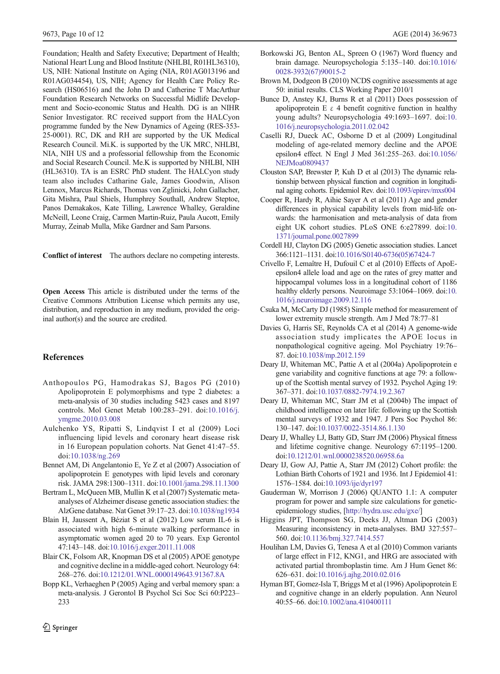<span id="page-9-0"></span>Foundation; Health and Safety Executive; Department of Health; National Heart Lung and Blood Institute (NHLBI, R01HL36310), US, NIH: National Institute on Aging (NIA, R01AG013196 and R01AG034454), US, NIH; Agency for Health Care Policy Research (HS06516) and the John D and Catherine T MacArthur Foundation Research Networks on Successful Midlife Development and Socio-economic Status and Health. DG is an NIHR Senior Investigator. RC received support from the HALCyon programme funded by the New Dynamics of Ageing (RES-353- 25-0001). RC, DK and RH are supported by the UK Medical Research Council. Mi.K. is supported by the UK MRC, NHLBI, NIA, NIH US and a professorial fellowship from the Economic and Social Research Council. Me.K is supported by NHLBI, NIH (HL36310). TA is an ESRC PhD student. The HALCyon study team also includes Catharine Gale, James Goodwin, Alison Lennox, Marcus Richards, Thomas von Zglinicki, John Gallacher, Gita Mishra, Paul Shiels, Humphrey Southall, Andrew Steptoe, Panos Demakakos, Kate Tilling, Lawrence Whalley, Geraldine McNeill, Leone Craig, Carmen Martin-Ruiz, Paula Aucott, Emily Murray, Zeinab Mulla, Mike Gardner and Sam Parsons.

Conflict of interest The authors declare no competing interests.

Open Access This article is distributed under the terms of the Creative Commons Attribution License which permits any use, distribution, and reproduction in any medium, provided the original author(s) and the source are credited.

# References

- Anthopoulos PG, Hamodrakas SJ, Bagos PG (2010) Apolipoprotein E polymorphisms and type 2 diabetes: a meta-analysis of 30 studies including 5423 cases and 8197 controls. Mol Genet Metab 100:283–291. doi:[10.1016/j.](http://dx.doi.org/10.1016/j.ymgme.2010.03.008) [ymgme.2010.03.008](http://dx.doi.org/10.1016/j.ymgme.2010.03.008)
- Aulchenko YS, Ripatti S, Lindqvist I et al (2009) Loci influencing lipid levels and coronary heart disease risk in 16 European population cohorts. Nat Genet 41:47–55. doi[:10.1038/ng.269](http://dx.doi.org/10.1038/ng.269)
- Bennet AM, Di Angelantonio E, Ye Z et al (2007) Association of apolipoprotein E genotypes with lipid levels and coronary risk. JAMA 298:1300–1311. doi[:10.1001/jama.298.11.1300](http://dx.doi.org/10.1001/jama.298.11.1300)
- Bertram L, McQueen MB, Mullin K et al (2007) Systematic metaanalyses of Alzheimer disease genetic association studies: the AlzGene database. Nat Genet 39:17–23. doi[:10.1038/ng1934](http://dx.doi.org/10.1038/ng1934)
- Blain H, Jaussent A, Béziat S et al (2012) Low serum IL-6 is associated with high 6-minute walking performance in asymptomatic women aged 20 to 70 years. Exp Gerontol 47:143–148. doi[:10.1016/j.exger.2011.11.008](http://dx.doi.org/10.1016/j.exger.2011.11.008)
- Blair CK, Folsom AR, Knopman DS et al (2005) APOE genotype and cognitive decline in a middle-aged cohort. Neurology 64: 268–276. doi:[10.1212/01.WNL.0000149643.91367.8A](http://dx.doi.org/10.1212/01.WNL.0000149643.91367.8A)
- Bopp KL, Verhaeghen P (2005) Aging and verbal memory span: a meta-analysis. J Gerontol B Psychol Sci Soc Sci 60:P223– 233

Springer

- Borkowski JG, Benton AL, Spreen O (1967) Word fluency and brain damage. Neuropsychologia 5:135–140. doi[:10.1016/](http://dx.doi.org/10.1016/0028-3932(67)90015-2) [0028-3932\(67\)90015-2](http://dx.doi.org/10.1016/0028-3932(67)90015-2)
- Brown M, Dodgeon B (2010) NCDS cognitive assessments at age 50: initial results. CLS Working Paper 2010/1
- Bunce D, Anstey KJ, Burns R et al (2011) Does possession of apolipoprotein E  $\varepsilon$  4 benefit cognitive function in healthy young adults? Neuropsychologia 49:1693–1697. doi:[10.](http://dx.doi.org/10.1016/j.neuropsychologia.2011.02.042) [1016/j.neuropsychologia.2011.02.042](http://dx.doi.org/10.1016/j.neuropsychologia.2011.02.042)
- Caselli RJ, Dueck AC, Osborne D et al (2009) Longitudinal modeling of age-related memory decline and the APOE epsilon4 effect. N Engl J Med 361:255–263. doi[:10.1056/](http://dx.doi.org/10.1056/NEJMoa0809437) [NEJMoa0809437](http://dx.doi.org/10.1056/NEJMoa0809437)
- Clouston SAP, Brewster P, Kuh D et al (2013) The dynamic relationship between physical function and cognition in longitudinal aging cohorts. Epidemiol Rev. doi[:10.1093/epirev/mxs004](http://dx.doi.org/10.1093/epirev/mxs004)
- Cooper R, Hardy R, Aihie Sayer A et al (2011) Age and gender differences in physical capability levels from mid-life onwards: the harmonisation and meta-analysis of data from eight UK cohort studies. PLoS ONE 6:e27899. doi:[10.](http://dx.doi.org/10.1371/journal.pone.0027899) [1371/journal.pone.0027899](http://dx.doi.org/10.1371/journal.pone.0027899)
- Cordell HJ, Clayton DG (2005) Genetic association studies. Lancet 366:1121–1131. doi[:10.1016/S0140-6736\(05\)67424-7](http://dx.doi.org/10.1016/S0140-6736(05)67424-7)
- Crivello F, Lemaître H, Dufouil C et al (2010) Effects of ApoEepsilon4 allele load and age on the rates of grey matter and hippocampal volumes loss in a longitudinal cohort of 1186 healthy elderly persons. Neuroimage 53:1064–1069. doi[:10.](http://dx.doi.org/10.1016/j.neuroimage.2009.12.116) [1016/j.neuroimage.2009.12.116](http://dx.doi.org/10.1016/j.neuroimage.2009.12.116)
- Csuka M, McCarty DJ (1985) Simple method for measurement of lower extremity muscle strength. Am J Med 78:77–81
- Davies G, Harris SE, Reynolds CA et al (2014) A genome-wide association study implicates the APOE locus in nonpathological cognitive ageing. Mol Psychiatry 19:76– 87. doi[:10.1038/mp.2012.159](http://dx.doi.org/10.1038/mp.2012.159)
- Deary IJ, Whiteman MC, Pattie A et al (2004a) Apolipoprotein e gene variability and cognitive functions at age 79: a followup of the Scottish mental survey of 1932. Psychol Aging 19: 367–371. doi:[10.1037/0882-7974.19.2.367](http://dx.doi.org/10.1037/0882-7974.19.2.367)
- Deary IJ, Whiteman MC, Starr JM et al (2004b) The impact of childhood intelligence on later life: following up the Scottish mental surveys of 1932 and 1947. J Pers Soc Psychol 86: 130–147. doi:[10.1037/0022-3514.86.1.130](http://dx.doi.org/10.1037/0022-3514.86.1.130)
- Deary IJ, Whalley LJ, Batty GD, Starr JM (2006) Physical fitness and lifetime cognitive change. Neurology 67:1195–1200. doi[:10.1212/01.wnl.0000238520.06958.6a](http://dx.doi.org/10.1212/01.wnl.0000238520.06958.6a)
- Deary IJ, Gow AJ, Pattie A, Starr JM (2012) Cohort profile: the Lothian Birth Cohorts of 1921 and 1936. Int J Epidemiol 41: 1576–1584. doi[:10.1093/ije/dyr197](http://dx.doi.org/10.1093/ije/dyr197)
- Gauderman W, Morrison J (2006) QUANTO 1.1: A computer program for power and sample size calculations for geneticepidemiology studies, [[http://hydra.usc.edu/gxe/\]](http://hydra.usc.edu/gxe/)
- Higgins JPT, Thompson SG, Deeks JJ, Altman DG (2003) Measuring inconsistency in meta-analyses. BMJ 327:557– 560. doi[:10.1136/bmj.327.7414.557](http://dx.doi.org/10.1136/bmj.327.7414.557)
- Houlihan LM, Davies G, Tenesa A et al (2010) Common variants of large effect in F12, KNG1, and HRG are associated with activated partial thromboplastin time. Am J Hum Genet 86: 626–631. doi:[10.1016/j.ajhg.2010.02.016](http://dx.doi.org/10.1016/j.ajhg.2010.02.016)
- Hyman BT, Gomez-Isla T, Briggs M et al (1996) Apolipoprotein E and cognitive change in an elderly population. Ann Neurol 40:55–66. doi[:10.1002/ana.410400111](http://dx.doi.org/10.1002/ana.410400111)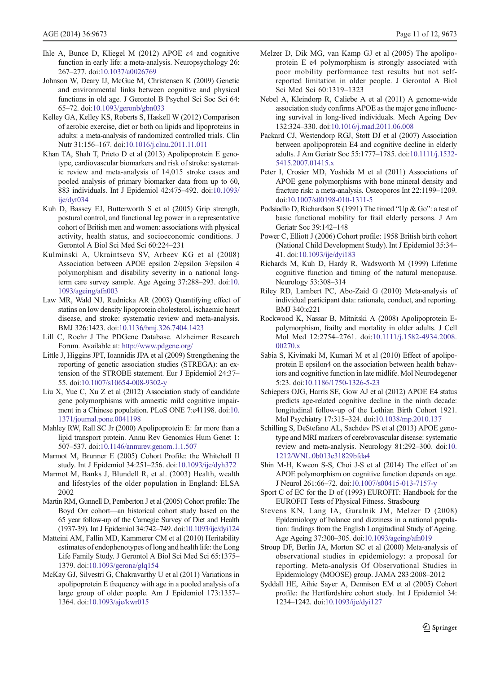- <span id="page-10-0"></span>Ihle A, Bunce D, Kliegel M (2012) APOE ε4 and cognitive function in early life: a meta-analysis. Neuropsychology 26: 267–277. doi:[10.1037/a0026769](http://dx.doi.org/10.1037/a0026769)
- Johnson W, Deary IJ, McGue M, Christensen K (2009) Genetic and environmental links between cognitive and physical functions in old age. J Gerontol B Psychol Sci Soc Sci 64: 65–72. doi[:10.1093/geronb/gbn033](http://dx.doi.org/10.1093/geronb/gbn033)
- Kelley GA, Kelley KS, Roberts S, Haskell W (2012) Comparison of aerobic exercise, diet or both on lipids and lipoproteins in adults: a meta-analysis of randomized controlled trials. Clin Nutr 31:156–167. doi[:10.1016/j.clnu.2011.11.011](http://dx.doi.org/10.1016/j.clnu.2011.11.011)
- Khan TA, Shah T, Prieto D et al (2013) Apolipoprotein E genotype, cardiovascular biomarkers and risk of stroke: systematic review and meta-analysis of 14,015 stroke cases and pooled analysis of primary biomarker data from up to 60, 883 individuals. Int J Epidemiol 42:475–492. doi[:10.1093/](http://dx.doi.org/10.1093/ije/dyt034) [ije/dyt034](http://dx.doi.org/10.1093/ije/dyt034)
- Kuh D, Bassey EJ, Butterworth S et al (2005) Grip strength, postural control, and functional leg power in a representative cohort of British men and women: associations with physical activity, health status, and socioeconomic conditions. J Gerontol A Biol Sci Med Sci 60:224–231
- Kulminski A, Ukraintseva SV, Arbeev KG et al (2008) Association between APOE epsilon 2/epsilon 3/epsilon 4 polymorphism and disability severity in a national longterm care survey sample. Age Ageing 37:288–293. doi:[10.](http://dx.doi.org/10.1093/ageing/afn003) [1093/ageing/afn003](http://dx.doi.org/10.1093/ageing/afn003)
- Law MR, Wald NJ, Rudnicka AR (2003) Quantifying effect of statins on low density lipoprotein cholesterol, ischaemic heart disease, and stroke: systematic review and meta-analysis. BMJ 326:1423. doi[:10.1136/bmj.326.7404.1423](http://dx.doi.org/10.1136/bmj.326.7404.1423)
- Lill C, Roehr J The PDGene Database. Alzheimer Research Forum. Available at: <http://www.pdgene.org/>
- Little J, Higgins JPT, Ioannidis JPA et al (2009) Strengthening the reporting of genetic association studies (STREGA): an extension of the STROBE statement. Eur J Epidemiol 24:37– 55. doi[:10.1007/s10654-008-9302-y](http://dx.doi.org/10.1007/s10654-008-9302-y)
- Liu X, Yue C, Xu Z et al (2012) Association study of candidate gene polymorphisms with amnestic mild cognitive impairment in a Chinese population. PLoS ONE 7:e41198. doi:[10.](http://dx.doi.org/10.1371/journal.pone.0041198) [1371/journal.pone.0041198](http://dx.doi.org/10.1371/journal.pone.0041198)
- Mahley RW, Rall SC Jr (2000) Apolipoprotein E: far more than a lipid transport protein. Annu Rev Genomics Hum Genet 1: 507–537. doi:[10.1146/annurev.genom.1.1.507](http://dx.doi.org/10.1146/annurev.genom.1.1.507)
- Marmot M, Brunner E (2005) Cohort Profile: the Whitehall II study. Int J Epidemiol 34:251–256. doi:[10.1093/ije/dyh372](http://dx.doi.org/10.1093/ije/dyh372)
- Marmot M, Banks J, Blundell R, et al. (2003) Health, wealth and lifestyles of the older population in England: ELSA 2002
- Martin RM, Gunnell D, Pemberton J et al (2005) Cohort profile: The Boyd Orr cohort—an historical cohort study based on the 65 year follow-up of the Carnegie Survey of Diet and Health (1937-39). Int J Epidemiol 34:742–749. doi:[10.1093/ije/dyi124](http://dx.doi.org/10.1093/ije/dyi124)
- Matteini AM, Fallin MD, Kammerer CM et al (2010) Heritability estimates of endophenotypes of long and health life: the Long Life Family Study. J Gerontol A Biol Sci Med Sci 65:1375– 1379. doi[:10.1093/gerona/glq154](http://dx.doi.org/10.1093/gerona/glq154)
- McKay GJ, Silvestri G, Chakravarthy U et al (2011) Variations in apolipoprotein E frequency with age in a pooled analysis of a large group of older people. Am J Epidemiol 173:1357– 1364. doi[:10.1093/aje/kwr015](http://dx.doi.org/10.1093/aje/kwr015)
- Melzer D, Dik MG, van Kamp GJ et al (2005) The apolipoprotein E e4 polymorphism is strongly associated with poor mobility performance test results but not selfreported limitation in older people. J Gerontol A Biol Sci Med Sci 60:1319–1323
- Nebel A, Kleindorp R, Caliebe A et al (2011) A genome-wide association study confirms APOE as the major gene influencing survival in long-lived individuals. Mech Ageing Dev 132:324–330. doi[:10.1016/j.mad.2011.06.008](http://dx.doi.org/10.1016/j.mad.2011.06.008)
- Packard CJ, Westendorp RGJ, Stott DJ et al (2007) Association between apolipoprotein E4 and cognitive decline in elderly adults. J Am Geriatr Soc 55:1777–1785. doi:[10.1111/j.1532-](http://dx.doi.org/10.1111/j.1532-5415.2007.01415.x) [5415.2007.01415.x](http://dx.doi.org/10.1111/j.1532-5415.2007.01415.x)
- Peter I, Crosier MD, Yoshida M et al (2011) Associations of APOE gene polymorphisms with bone mineral density and fracture risk: a meta-analysis. Osteoporos Int 22:1199–1209. doi[:10.1007/s00198-010-1311-5](http://dx.doi.org/10.1007/s00198-010-1311-5)
- Podsiadlo D, Richardson S (1991) The timed "Up & Go": a test of basic functional mobility for frail elderly persons. J Am Geriatr Soc 39:142–148
- Power C, Elliott J (2006) Cohort profile: 1958 British birth cohort (National Child Development Study). Int J Epidemiol 35:34– 41. doi[:10.1093/ije/dyi183](http://dx.doi.org/10.1093/ije/dyi183)
- Richards M, Kuh D, Hardy R, Wadsworth M (1999) Lifetime cognitive function and timing of the natural menopause. Neurology 53:308–314
- Riley RD, Lambert PC, Abo-Zaid G (2010) Meta-analysis of individual participant data: rationale, conduct, and reporting. BMJ 340:c221
- Rockwood K, Nassar B, Mitnitski A (2008) Apolipoprotein Epolymorphism, frailty and mortality in older adults. J Cell Mol Med 12:2754–2761. doi:[10.1111/j.1582-4934.2008.](http://dx.doi.org/10.1111/j.1582-4934.2008.00270.x) [00270.x](http://dx.doi.org/10.1111/j.1582-4934.2008.00270.x)
- Sabia S, Kivimaki M, Kumari M et al (2010) Effect of apolipoprotein E epsilon4 on the association between health behaviors and cognitive function in late midlife. Mol Neurodegener 5:23. doi[:10.1186/1750-1326-5-23](http://dx.doi.org/10.1186/1750-1326-5-23)
- Schiepers OJG, Harris SE, Gow AJ et al (2012) APOE E4 status predicts age-related cognitive decline in the ninth decade: longitudinal follow-up of the Lothian Birth Cohort 1921. Mol Psychiatry 17:315–324. doi[:10.1038/mp.2010.137](http://dx.doi.org/10.1038/mp.2010.137)
- Schilling S, DeStefano AL, Sachdev PS et al (2013) APOE genotype and MRI markers of cerebrovascular disease: systematic review and meta-analysis. Neurology 81:292–300. doi[:10.](http://dx.doi.org/10.1212/WNL.0b013e31829bfda4) [1212/WNL.0b013e31829bfda4](http://dx.doi.org/10.1212/WNL.0b013e31829bfda4)
- Shin M-H, Kweon S-S, Choi J-S et al (2014) The effect of an APOE polymorphism on cognitive function depends on age. J Neurol 261:66–72. doi[:10.1007/s00415-013-7157-y](http://dx.doi.org/10.1007/s00415-013-7157-y)
- Sport C of EC for the D of (1993) EUROFIT: Handbook for the EUROFIT Tests of Physical Fitness. Strasbourg
- Stevens KN, Lang IA, Guralnik JM, Melzer D (2008) Epidemiology of balance and dizziness in a national population: findings from the English Longitudinal Study of Ageing. Age Ageing 37:300–305. doi:[10.1093/ageing/afn019](http://dx.doi.org/10.1093/ageing/afn019)
- Stroup DF, Berlin JA, Morton SC et al (2000) Meta-analysis of observational studies in epidemiology: a proposal for reporting. Meta-analysis Of Observational Studies in Epidemiology (MOOSE) group. JAMA 283:2008–2012
- Syddall HE, Aihie Sayer A, Dennison EM et al (2005) Cohort profile: the Hertfordshire cohort study. Int J Epidemiol 34: 1234–1242. doi[:10.1093/ije/dyi127](http://dx.doi.org/10.1093/ije/dyi127)